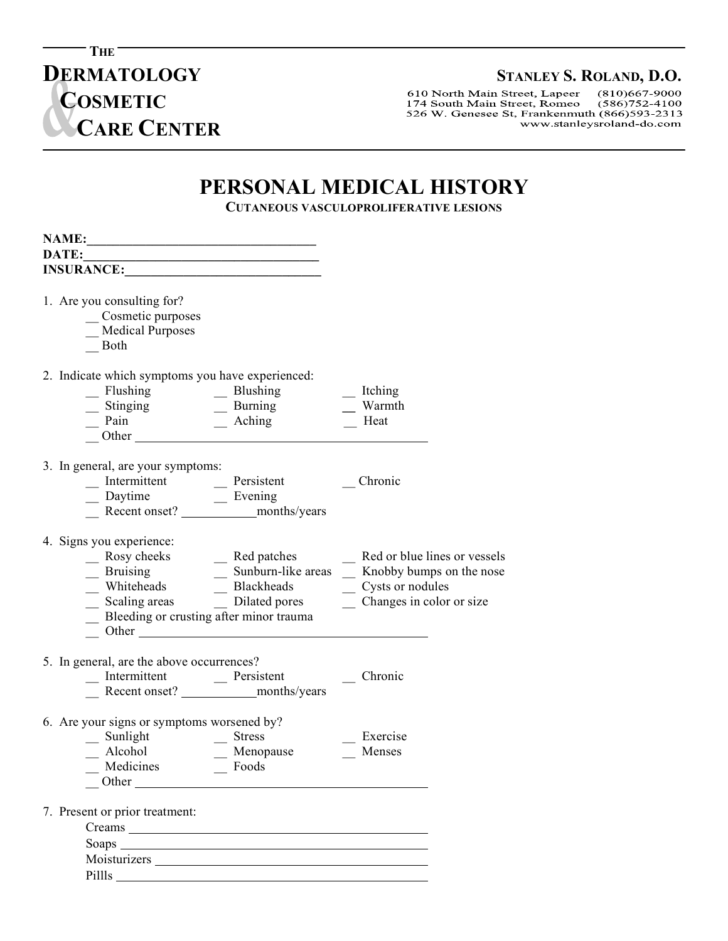**DERMATOLOGY** STANLEY S. ROLAND, D.O.<br>
610 North Main Street, Lapeer (810)667-9000 174 South Main Street, Romeo  $(586)752-4100$ 526 W. Genesee St, Frankenmuth (866)593-2313 www.stanleysroland-do.com

## **PERSONAL MEDICAL HISTORY**

**CUTANEOUS VASCULOPROLIFERATIVE LESIONS**

| DATE:                                                                                                                                                                                                                                                                                                                                  | <u> 1980 - Johann Barbara, martin amerikan basar dan berasal dan berasal dalam basar dalam basar dalam basar dala</u>                                                                                                                                              |                                                                                                                                                                                                      |
|----------------------------------------------------------------------------------------------------------------------------------------------------------------------------------------------------------------------------------------------------------------------------------------------------------------------------------------|--------------------------------------------------------------------------------------------------------------------------------------------------------------------------------------------------------------------------------------------------------------------|------------------------------------------------------------------------------------------------------------------------------------------------------------------------------------------------------|
| INSURANCE:                                                                                                                                                                                                                                                                                                                             |                                                                                                                                                                                                                                                                    |                                                                                                                                                                                                      |
| 1. Are you consulting for?<br>Cosmetic purposes<br>Medical Purposes<br>Both                                                                                                                                                                                                                                                            |                                                                                                                                                                                                                                                                    |                                                                                                                                                                                                      |
| 2. Indicate which symptoms you have experienced:<br>- Flushing<br>- Stinging<br>- Pain<br>- Other<br>- Other<br>- Other<br>- Other<br>- Pain<br>- Other<br>- Pain<br>- Pain<br>- Pain<br>- Pain<br>- Pain<br>- Pain<br>- Pain<br>- Pain<br>- Pain<br>- Pain<br>- Pain<br>- Pain<br>- Pain<br>- Pain<br>- Pain<br>- Pain<br>- Pain<br>- |                                                                                                                                                                                                                                                                    | Itching<br>Warmth<br>Heat                                                                                                                                                                            |
| 3. In general, are your symptoms:                                                                                                                                                                                                                                                                                                      |                                                                                                                                                                                                                                                                    | Chronic                                                                                                                                                                                              |
| 4. Signs you experience:<br>Bleeding or crusting after minor trauma                                                                                                                                                                                                                                                                    | Rosy cheeks<br>Bruising<br>Whiteheads<br>Alackheads<br>Alackheads<br>Alackheads<br>Alackheads<br>Alackheads<br>Alackheads<br>Alackheads<br>Alackheads<br>Alackheads<br>Alackheads<br>Alackheads<br>Alackheads<br>Alackheads<br>Alackheads<br>Alackheads<br>Alackhe | _ Red patches _ Red or blue lines or vessels<br>_ Sunburn-like areas _ Knobby bumps on the nose<br>$\frac{\ }{2}$ Scaling areas $\frac{\ }{2}$ Dilated pores $\frac{\ }{2}$ Changes in color or size |
| 5. In general, are the above occurrences?                                                                                                                                                                                                                                                                                              |                                                                                                                                                                                                                                                                    | Chronic                                                                                                                                                                                              |
| 6. Are your signs or symptoms worsened by?<br>- Sunlight<br>- Alcohol - Menop<br>- Medicines - Foods                                                                                                                                                                                                                                   | Menopause                                                                                                                                                                                                                                                          | Exercise<br>Menses                                                                                                                                                                                   |
| 7. Present or prior treatment:                                                                                                                                                                                                                                                                                                         |                                                                                                                                                                                                                                                                    |                                                                                                                                                                                                      |

**THE** 

**C**

 $\overline{a}$ 

**COSMETIC**

 **CARE CENTER**

 Soaps <u> 1980 - Johann Barnett, fransk politik (d. 1980)</u> Moisturizers Pillls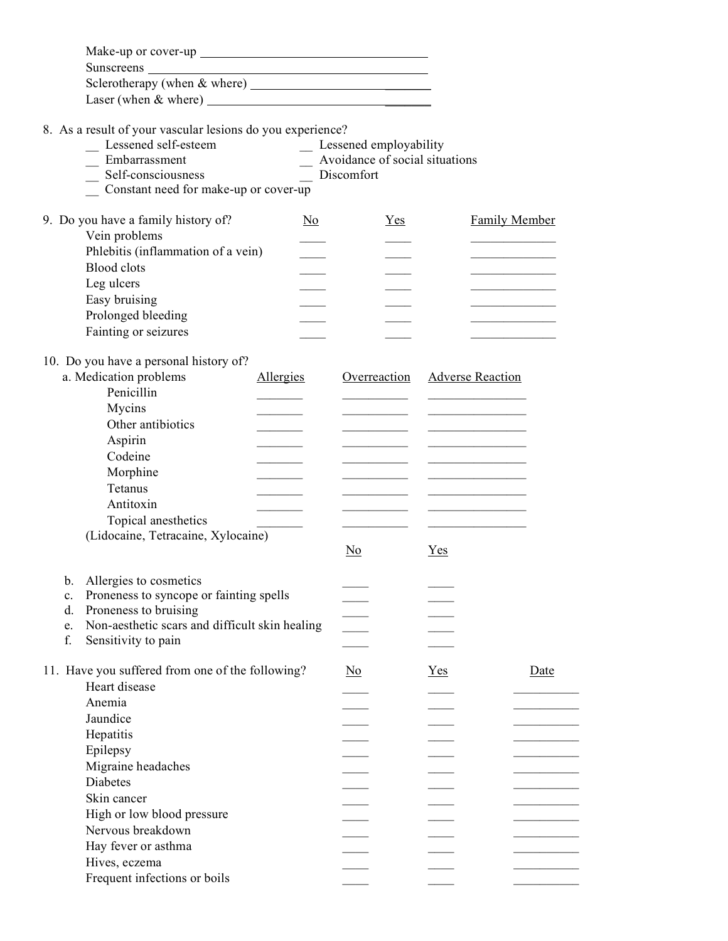| 8. As a result of your vascular lesions do you experience?<br>_ Lessened self-esteem<br>Embarrassment<br>Self-consciousness<br>Constant need for make-up or cover-up                                                                                                                         | Discomfort | _ Lessened employability<br>Avoidance of social situations |       |                         |      |
|----------------------------------------------------------------------------------------------------------------------------------------------------------------------------------------------------------------------------------------------------------------------------------------------|------------|------------------------------------------------------------|-------|-------------------------|------|
| 9. Do you have a family history of?<br>Vein problems<br>Phlebitis (inflammation of a vein)<br><b>Blood</b> clots<br>Leg ulcers<br>Easy bruising<br>Prolonged bleeding<br>Fainting or seizures<br>10. Do you have a personal history of?                                                      | No.        | Yes                                                        |       | <b>Family Member</b>    |      |
| a. Medication problems<br>Penicillin<br>Mycins<br>Other antibiotics<br>Aspirin<br>Codeine<br>Morphine<br>Tetanus<br>Antitoxin<br>Topical anesthetics<br>(Lidocaine, Tetracaine, Xylocaine)                                                                                                   | Allergies  | Overreaction<br>N <sub>0</sub>                             | Yes   | <b>Adverse Reaction</b> |      |
| Allergies to cosmetics<br>b.<br>Proneness to syncope or fainting spells<br>c.<br>Proneness to bruising<br>d.<br>Non-aesthetic scars and difficult skin healing<br>e.<br>f.<br>Sensitivity to pain                                                                                            |            |                                                            |       |                         |      |
| 11. Have you suffered from one of the following?<br>Heart disease<br>Anemia<br>Jaundice<br>Hepatitis<br>Epilepsy<br>Migraine headaches<br>Diabetes<br>Skin cancer<br>High or low blood pressure<br>Nervous breakdown<br>Hay fever or asthma<br>Hives, eczema<br>Frequent infections or boils |            | $\underline{\mathrm{No}}$                                  | $Yes$ |                         | Date |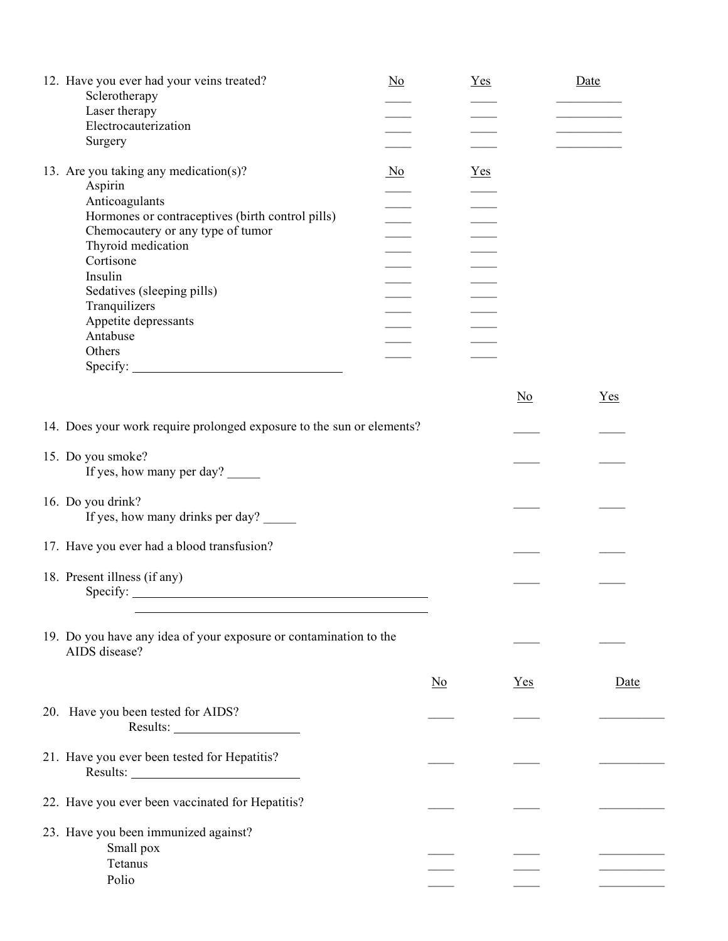| 12. Have you ever had your veins treated?<br>Sclerotherapy<br>Laser therapy<br>Electrocauterization<br>Surgery                                                                                                                                                                                                                                                  | $\underline{No}$ | <u>Yes</u>             |                           | Date  |
|-----------------------------------------------------------------------------------------------------------------------------------------------------------------------------------------------------------------------------------------------------------------------------------------------------------------------------------------------------------------|------------------|------------------------|---------------------------|-------|
| 13. Are you taking any medication(s)?<br>Aspirin<br>Anticoagulants<br>Hormones or contraceptives (birth control pills)<br>Chemocautery or any type of tumor<br>Thyroid medication<br>Cortisone<br>Insulin<br>Sedatives (sleeping pills)<br>Tranquilizers<br>Appetite depressants<br>Antabuse<br>Others<br>$\text{Specify:}\n\quad \qquad \qquad \text{Step 1:}$ | $\overline{N}$   | <u>Yes</u>             |                           |       |
|                                                                                                                                                                                                                                                                                                                                                                 |                  |                        | $\underline{\mathrm{No}}$ | $Yes$ |
| 14. Does your work require prolonged exposure to the sun or elements?                                                                                                                                                                                                                                                                                           |                  |                        |                           |       |
| 15. Do you smoke?<br>If yes, how many per day?                                                                                                                                                                                                                                                                                                                  |                  |                        |                           |       |
| 16. Do you drink?<br>If yes, how many drinks per day?                                                                                                                                                                                                                                                                                                           |                  |                        |                           |       |
| 17. Have you ever had a blood transfusion?                                                                                                                                                                                                                                                                                                                      |                  |                        |                           |       |
| 18. Present illness (if any)                                                                                                                                                                                                                                                                                                                                    |                  |                        |                           |       |
| 19. Do you have any idea of your exposure or contamination to the<br>AIDS disease?                                                                                                                                                                                                                                                                              |                  |                        |                           |       |
|                                                                                                                                                                                                                                                                                                                                                                 |                  | $\overline{\text{No}}$ | $Yes$                     | Date  |
| 20. Have you been tested for AIDS?                                                                                                                                                                                                                                                                                                                              |                  |                        |                           |       |
| 21. Have you ever been tested for Hepatitis?                                                                                                                                                                                                                                                                                                                    |                  |                        |                           |       |
| 22. Have you ever been vaccinated for Hepatitis?                                                                                                                                                                                                                                                                                                                |                  |                        |                           |       |
| 23. Have you been immunized against?<br>Small pox<br>Tetanus<br>Polio                                                                                                                                                                                                                                                                                           |                  |                        |                           |       |